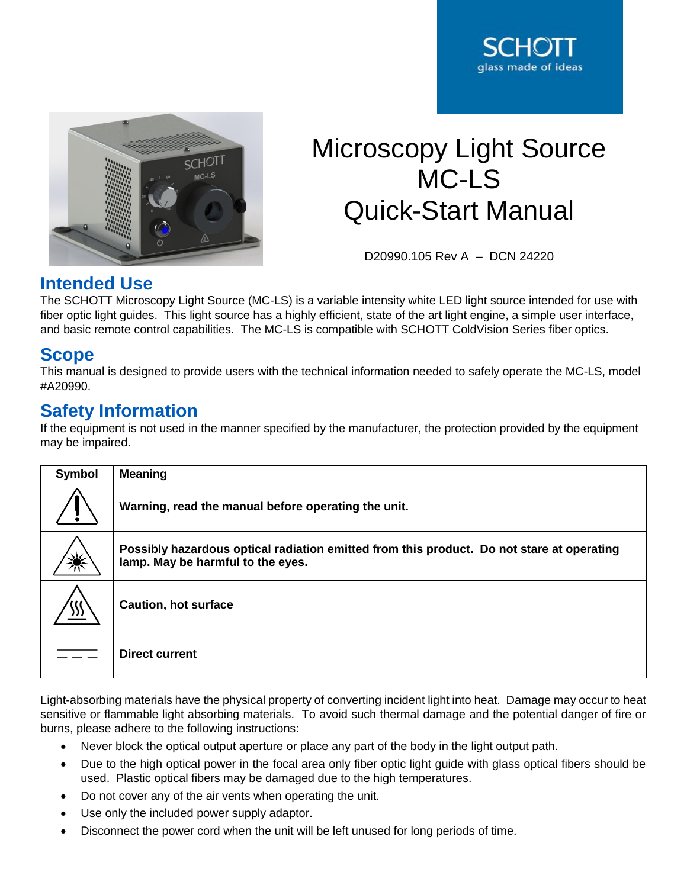



# Microscopy Light Source MC-LS Quick-Start Manual

D20990.105 Rev A – DCN 24220

## **Intended Use**

The SCHOTT Microscopy Light Source (MC-LS) is a variable intensity white LED light source intended for use with fiber optic light guides. This light source has a highly efficient, state of the art light engine, a simple user interface, and basic remote control capabilities. The MC-LS is compatible with SCHOTT ColdVision Series fiber optics.

## **Scope**

This manual is designed to provide users with the technical information needed to safely operate the MC-LS, model #A20990.

## **Safety Information**

If the equipment is not used in the manner specified by the manufacturer, the protection provided by the equipment may be impaired.

| Symbol | <b>Meaning</b>                                                                                                                 |
|--------|--------------------------------------------------------------------------------------------------------------------------------|
|        | Warning, read the manual before operating the unit.                                                                            |
| Ж      | Possibly hazardous optical radiation emitted from this product. Do not stare at operating<br>lamp. May be harmful to the eyes. |
| )))    | <b>Caution, hot surface</b>                                                                                                    |
|        | <b>Direct current</b>                                                                                                          |

Light-absorbing materials have the physical property of converting incident light into heat. Damage may occur to heat sensitive or flammable light absorbing materials. To avoid such thermal damage and the potential danger of fire or burns, please adhere to the following instructions:

- Never block the optical output aperture or place any part of the body in the light output path.
- Due to the high optical power in the focal area only fiber optic light guide with glass optical fibers should be used. Plastic optical fibers may be damaged due to the high temperatures.
- Do not cover any of the air vents when operating the unit.
- Use only the included power supply adaptor.
- Disconnect the power cord when the unit will be left unused for long periods of time.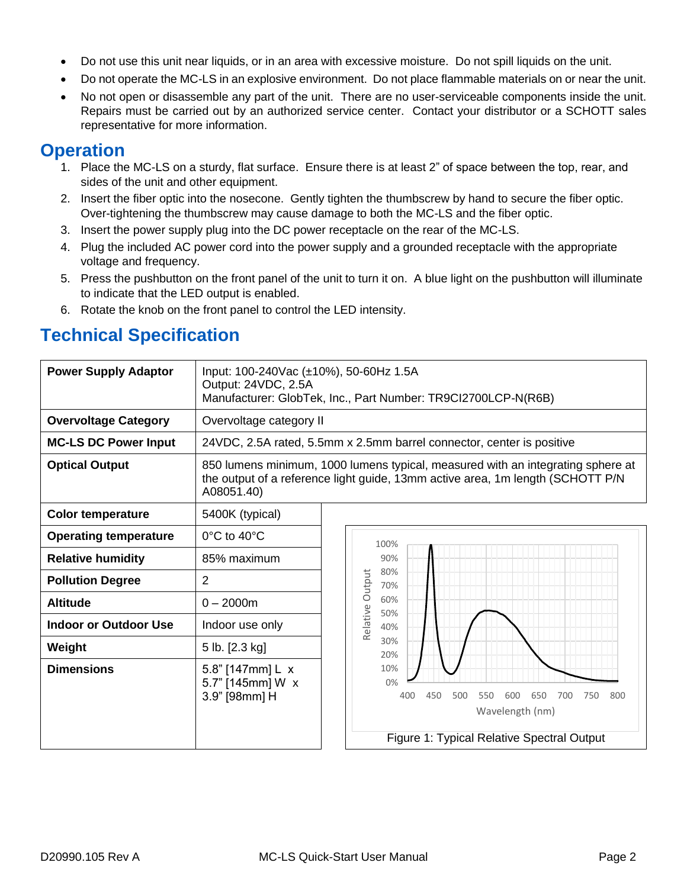- Do not use this unit near liquids, or in an area with excessive moisture. Do not spill liquids on the unit.
- Do not operate the MC-LS in an explosive environment. Do not place flammable materials on or near the unit.
- No not open or disassemble any part of the unit. There are no user-serviceable components inside the unit. Repairs must be carried out by an authorized service center. Contact your distributor or a SCHOTT sales representative for more information.

## **Operation**

- 1. Place the MC-LS on a sturdy, flat surface. Ensure there is at least 2" of space between the top, rear, and sides of the unit and other equipment.
- 2. Insert the fiber optic into the nosecone. Gently tighten the thumbscrew by hand to secure the fiber optic. Over-tightening the thumbscrew may cause damage to both the MC-LS and the fiber optic.
- 3. Insert the power supply plug into the DC power receptacle on the rear of the MC-LS.
- 4. Plug the included AC power cord into the power supply and a grounded receptacle with the appropriate voltage and frequency.
- 5. Press the pushbutton on the front panel of the unit to turn it on. A blue light on the pushbutton will illuminate to indicate that the LED output is enabled.
- 6. Rotate the knob on the front panel to control the LED intensity.

# **Technical Specification**

| <b>Power Supply Adaptor</b>  | Input: 100-240Vac (±10%), 50-60Hz 1.5A<br>Output: 24VDC, 2.5A | Manufacturer: GlobTek, Inc., Part Number: TR9Cl2700LCP-N(R6B)                                                                                                      |
|------------------------------|---------------------------------------------------------------|--------------------------------------------------------------------------------------------------------------------------------------------------------------------|
| <b>Overvoltage Category</b>  | Overvoltage category II                                       |                                                                                                                                                                    |
| <b>MC-LS DC Power Input</b>  |                                                               | 24VDC, 2.5A rated, 5.5mm x 2.5mm barrel connector, center is positive                                                                                              |
| <b>Optical Output</b>        | A08051.40)                                                    | 850 lumens minimum, 1000 lumens typical, measured with an integrating sphere at<br>the output of a reference light guide, 13mm active area, 1m length (SCHOTT P/N) |
| <b>Color temperature</b>     | 5400K (typical)                                               |                                                                                                                                                                    |
| <b>Operating temperature</b> | 0°C to 40°C                                                   | 100%                                                                                                                                                               |
| <b>Relative humidity</b>     | 85% maximum<br>90%                                            |                                                                                                                                                                    |
| <b>Pollution Degree</b>      | $\overline{2}$                                                | 80%<br>Relative Output<br>70%                                                                                                                                      |
| <b>Altitude</b>              | $0 - 2000m$                                                   | 60%<br>50%                                                                                                                                                         |
| <b>Indoor or Outdoor Use</b> | Indoor use only                                               | 40%                                                                                                                                                                |
| Weight                       | 5 lb. [2.3 kg]                                                | 30%<br>20%                                                                                                                                                         |
| <b>Dimensions</b>            | 5.8" [147mm] L x<br>5.7" [145mm] W x<br>3.9" [98mm] H         | 10%<br>0%<br>400<br>450<br>500<br>650<br>700<br>750<br>800<br>550<br>600<br>Wavelength (nm)<br>Figure 1: Typical Relative Spectral Output                          |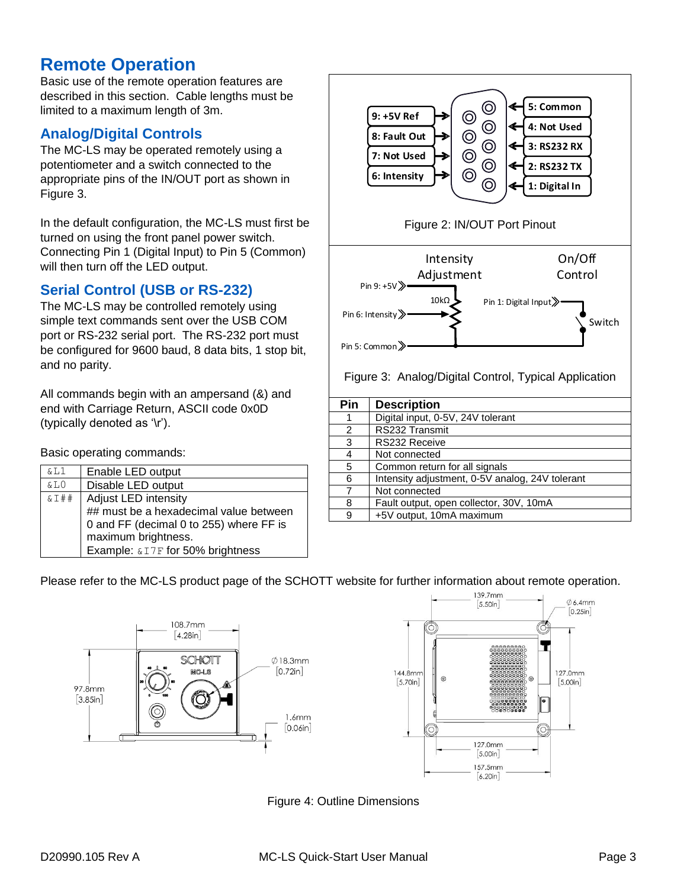## **Remote Operation**

Basic use of the remote operation features are described in this section. Cable lengths must be limited to a maximum length of 3m.

## **Analog/Digital Controls**

The MC-LS may be operated remotely using a potentiometer and a switch connected to the appropriate pins of the IN/OUT port as shown in [Figure 3.](#page-2-0)

In the default configuration, the MC-LS must first be turned on using the front panel power switch. Connecting Pin 1 (Digital Input) to Pin 5 (Common) will then turn off the LED output.

#### **Serial Control (USB or RS-232)**

The MC-LS may be controlled remotely using simple text commands sent over the USB COM port or RS-232 serial port. The RS-232 port must be configured for 9600 baud, 8 data bits, 1 stop bit, and no parity.

All commands begin with an ampersand (&) and end with Carriage Return, ASCII code 0x0D (typically denoted as '\r').

Basic operating commands:

| &L1      | Enable LED output                       |
|----------|-----------------------------------------|
| &L0      | Disable LED output                      |
| $&5 + 4$ | Adjust LED intensity                    |
|          | ## must be a hexadecimal value between  |
|          | 0 and FF (decimal 0 to 255) where FF is |
|          | maximum brightness.                     |
|          | Example: & I7F for 50% brightness       |



<span id="page-2-0"></span>

| Pin | <b>Description</b>                              |
|-----|-------------------------------------------------|
|     | Digital input, 0-5V, 24V tolerant               |
| 2   | RS232 Transmit                                  |
| 3   | RS232 Receive                                   |
| 4   | Not connected                                   |
| 5   | Common return for all signals                   |
| 6   | Intensity adjustment, 0-5V analog, 24V tolerant |
|     | Not connected                                   |
| 8   | Fault output, open collector, 30V, 10mA         |
| 9   | +5V output, 10mA maximum                        |

#### Please refer to the MC-LS product page of the SCHOTT website for further information about remote operation.





Figure 4: Outline Dimensions